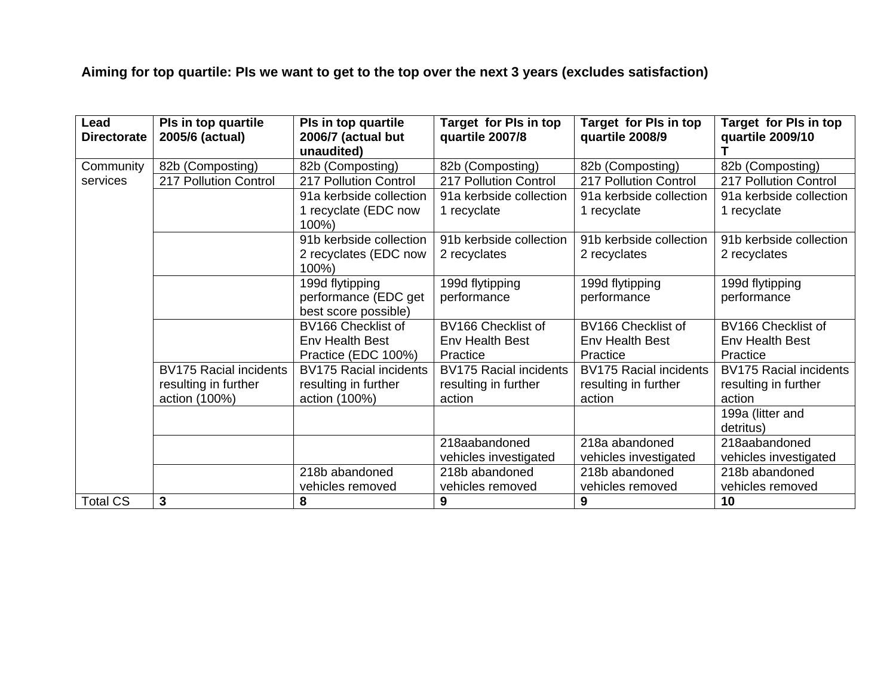**Aiming for top quartile: PIs we want to get to the top over the next 3 years (excludes satisfaction)** 

| Lead<br><b>Directorate</b> | Pls in top quartile<br>2005/6 (actual) | Pls in top quartile<br>2006/7 (actual but<br>unaudited) | Target for PIs in top<br>quartile 2007/8           | Target for PIs in top<br>quartile 2008/9 | Target for PIs in top<br>quartile 2009/10 |
|----------------------------|----------------------------------------|---------------------------------------------------------|----------------------------------------------------|------------------------------------------|-------------------------------------------|
|                            |                                        |                                                         |                                                    |                                          |                                           |
| Community                  | 82b (Composting)                       | 82b (Composting)                                        | 82b (Composting)                                   | 82b (Composting)                         | 82b (Composting)                          |
| services                   | 217 Pollution Control                  | 217 Pollution Control                                   | 217 Pollution Control                              | 217 Pollution Control                    | 217 Pollution Control                     |
|                            |                                        | 91a kerbside collection                                 | 91a kerbside collection<br>91a kerbside collection |                                          | 91a kerbside collection                   |
|                            |                                        | 1 recyclate (EDC now                                    | 1 recyclate                                        | 1 recyclate                              | 1 recyclate                               |
|                            |                                        | 100%)                                                   |                                                    |                                          |                                           |
|                            |                                        | 91b kerbside collection                                 | 91b kerbside collection<br>91b kerbside collection |                                          | 91b kerbside collection                   |
|                            |                                        | 2 recyclates (EDC now                                   | 2 recyclates                                       | 2 recyclates                             | 2 recyclates                              |
|                            |                                        | 100%)                                                   |                                                    |                                          |                                           |
|                            |                                        | 199d flytipping                                         | 199d flytipping                                    | 199d flytipping                          | 199d flytipping                           |
|                            |                                        | performance (EDC get                                    | performance                                        | performance                              | performance                               |
|                            | best score possible)                   |                                                         |                                                    |                                          |                                           |
|                            |                                        | BV166 Checklist of                                      | BV166 Checklist of                                 | BV166 Checklist of                       | BV166 Checklist of                        |
|                            |                                        | Env Health Best                                         | <b>Env Health Best</b>                             | <b>Env Health Best</b>                   | <b>Env Health Best</b>                    |
|                            |                                        | Practice (EDC 100%)                                     | Practice                                           | Practice                                 | Practice                                  |
|                            | <b>BV175 Racial incidents</b>          | <b>BV175 Racial incidents</b>                           | <b>BV175 Racial incidents</b>                      | <b>BV175 Racial incidents</b>            | <b>BV175 Racial incidents</b>             |
| resulting in further       |                                        | resulting in further                                    | resulting in further                               | resulting in further                     | resulting in further                      |
|                            | action (100%)                          | action (100%)                                           | action                                             | action                                   | action                                    |
|                            |                                        |                                                         |                                                    |                                          | 199a (litter and                          |
|                            |                                        |                                                         |                                                    |                                          | detritus)                                 |
|                            |                                        |                                                         | 218aabandoned                                      | 218a abandoned                           | 218aabandoned                             |
|                            |                                        |                                                         | vehicles investigated                              | vehicles investigated                    | vehicles investigated                     |
|                            |                                        | 218b abandoned                                          | 218b abandoned                                     | 218b abandoned                           | 218b abandoned                            |
|                            |                                        | vehicles removed                                        | vehicles removed                                   | vehicles removed                         | vehicles removed                          |
| <b>Total CS</b>            | 3                                      | 8                                                       | 9                                                  | 9                                        | 10                                        |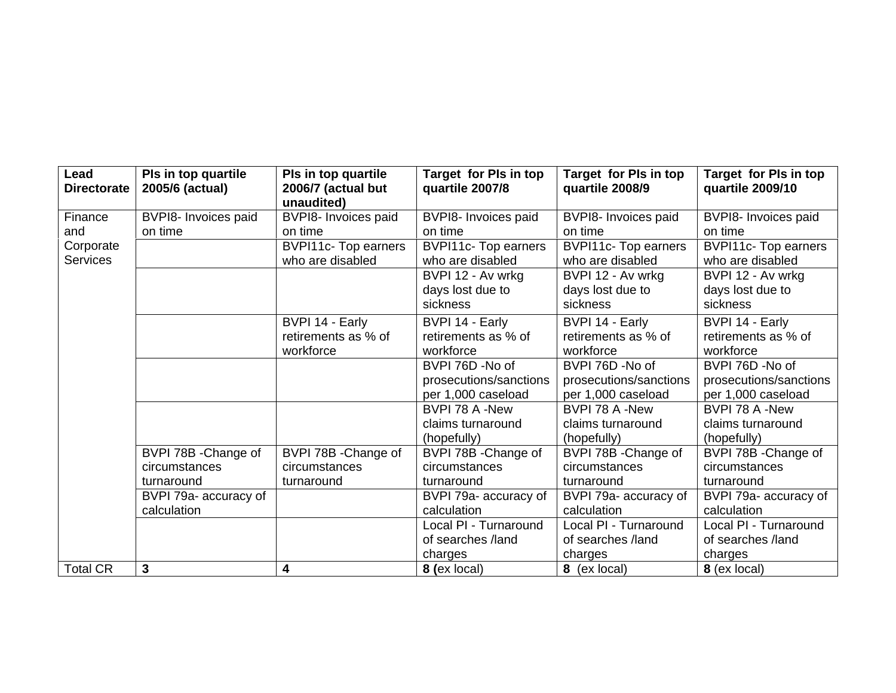| Lead<br><b>Directorate</b> | Pls in top quartile<br>2005/6 (actual) | Pls in top quartile<br>2006/7 (actual but<br>unaudited) | Target for PIs in top<br>quartile 2007/8 | Target for PIs in top<br>quartile 2008/9 | Target for PIs in top<br>quartile 2009/10 |
|----------------------------|----------------------------------------|---------------------------------------------------------|------------------------------------------|------------------------------------------|-------------------------------------------|
| Finance                    | BVPI8- Invoices paid                   | BVPI8- Invoices paid                                    | BVPI8- Invoices paid                     | BVPI8- Invoices paid                     | BVPI8- Invoices paid                      |
| and                        | on time                                | on time                                                 | on time                                  | on time                                  | on time                                   |
| Corporate                  |                                        | <b>BVPI11c- Top earners</b>                             | <b>BVPI11c- Top earners</b>              | <b>BVPI11c- Top earners</b>              | <b>BVPI11c- Top earners</b>               |
| <b>Services</b>            |                                        | who are disabled                                        | who are disabled                         | who are disabled                         | who are disabled                          |
|                            |                                        |                                                         | BVPI 12 - Av wrkg                        | BVPI 12 - Av wrkg                        | BVPI 12 - Av wrkg                         |
|                            |                                        |                                                         | days lost due to                         | days lost due to                         | days lost due to                          |
|                            |                                        |                                                         | sickness                                 | sickness                                 | sickness                                  |
|                            |                                        | BVPI 14 - Early                                         | BVPI 14 - Early                          | BVPI 14 - Early                          | BVPI 14 - Early                           |
|                            |                                        | retirements as % of                                     | retirements as % of                      | retirements as % of                      | retirements as % of                       |
|                            |                                        | workforce                                               | workforce                                | workforce                                | workforce                                 |
|                            |                                        |                                                         | BVPI 76D -No of                          | BVPI 76D -No of                          | BVPI 76D -No of                           |
|                            |                                        |                                                         | prosecutions/sanctions                   | prosecutions/sanctions                   | prosecutions/sanctions                    |
|                            |                                        |                                                         | per 1,000 caseload                       | per 1,000 caseload                       | per 1,000 caseload                        |
|                            |                                        |                                                         | BVPI 78 A -New                           | BVPI 78 A -New                           | BVPI 78 A -New                            |
|                            |                                        |                                                         | claims turnaround                        | claims turnaround                        | claims turnaround                         |
|                            |                                        |                                                         | (hopefully)                              | (hopefully)                              | (hopefully)                               |
|                            | BVPI 78B - Change of                   | BVPI 78B - Change of                                    | BVPI 78B - Change of                     | BVPI 78B - Change of                     | BVPI 78B - Change of                      |
|                            | circumstances                          | circumstances                                           | circumstances                            | circumstances                            | circumstances                             |
|                            | turnaround                             | turnaround                                              | turnaround                               | turnaround                               | turnaround                                |
|                            | BVPI 79a- accuracy of                  |                                                         | BVPI 79a- accuracy of                    | BVPI 79a- accuracy of                    | BVPI 79a- accuracy of                     |
|                            | calculation                            |                                                         | calculation                              | calculation                              | calculation                               |
|                            |                                        |                                                         | Local PI - Turnaround                    | Local PI - Turnaround                    | Local PI - Turnaround                     |
|                            |                                        |                                                         | of searches /land                        | of searches /land                        | of searches /land                         |
|                            |                                        |                                                         | charges                                  | charges                                  | charges                                   |
| <b>Total CR</b>            | $\mathbf{3}$                           | 4                                                       | 8 (ex local)                             | 8 (ex local)                             | 8 (ex local)                              |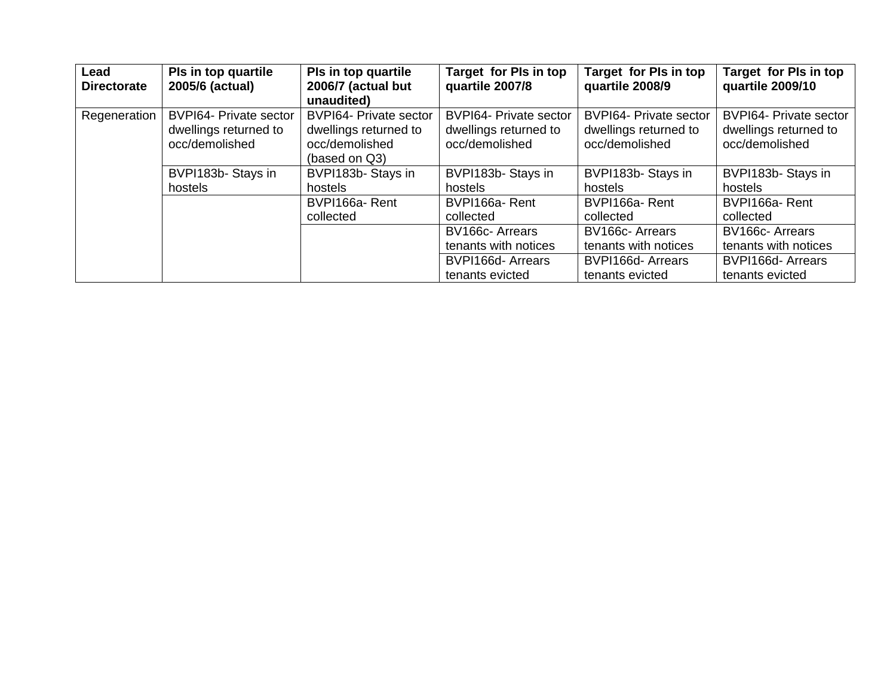| Lead<br><b>Directorate</b>              | Pls in top quartile<br>2005/6 (actual)                                   | Pls in top quartile<br>2006/7 (actual but<br>unaudited)                                   | Target for PIs in top<br>quartile 2007/8                                 | Target for PIs in top<br>quartile 2008/9                                 | Target for PIs in top<br>quartile 2009/10                                |
|-----------------------------------------|--------------------------------------------------------------------------|-------------------------------------------------------------------------------------------|--------------------------------------------------------------------------|--------------------------------------------------------------------------|--------------------------------------------------------------------------|
| Regeneration                            | <b>BVPI64- Private sector</b><br>dwellings returned to<br>occ/demolished | <b>BVPI64- Private sector</b><br>dwellings returned to<br>occ/demolished<br>(based on Q3) | <b>BVPI64- Private sector</b><br>dwellings returned to<br>occ/demolished | <b>BVPI64- Private sector</b><br>dwellings returned to<br>occ/demolished | <b>BVPI64- Private sector</b><br>dwellings returned to<br>occ/demolished |
| BVPI183b-Stays in<br>hostels<br>hostels |                                                                          | BVPI183b-Stays in                                                                         | BVPI183b-Stays in<br>hostels                                             | BVPI183b-Stays in<br>hostels                                             | BVPI183b-Stays in<br>hostels                                             |
|                                         |                                                                          | BVPI166a-Rent<br>collected                                                                | BVPI166a-Rent<br>collected                                               | BVPI166a-Rent<br>collected                                               | BVPI166a-Rent<br>collected                                               |
|                                         |                                                                          |                                                                                           | BV166c-Arrears<br>tenants with notices                                   | BV166c-Arrears<br>tenants with notices                                   | BV166c-Arrears<br>tenants with notices                                   |
|                                         |                                                                          |                                                                                           | BVPI166d-Arrears<br>tenants evicted                                      | BVPI166d-Arrears<br>tenants evicted                                      | BVPI166d-Arrears<br>tenants evicted                                      |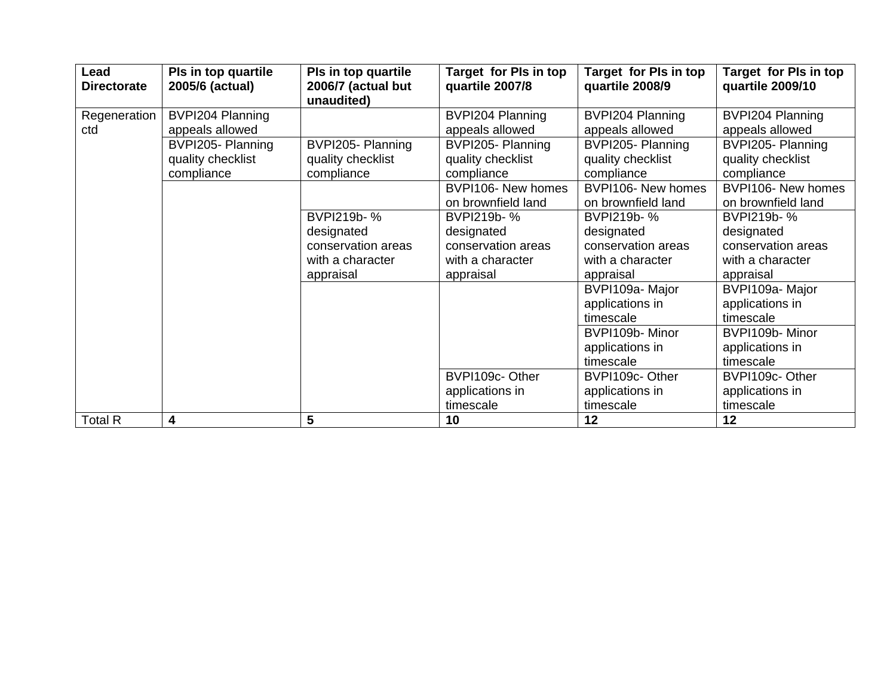| Lead<br><b>Directorate</b> | Pls in top quartile<br>2005/6 (actual)                                  | Pls in top quartile<br>2006/7 (actual but<br>unaudited) | Target for PIs in top<br>quartile 2007/8                               | Target for PIs in top<br>quartile 2008/9                                | Target for PIs in top<br>quartile 2009/10                              |
|----------------------------|-------------------------------------------------------------------------|---------------------------------------------------------|------------------------------------------------------------------------|-------------------------------------------------------------------------|------------------------------------------------------------------------|
| Regeneration               | BVPI204 Planning                                                        |                                                         | BVPI204 Planning                                                       | BVPI204 Planning                                                        | BVPI204 Planning                                                       |
| ctd                        | appeals allowed<br>BVPI205- Planning<br>quality checklist<br>compliance | BVPI205- Planning<br>quality checklist<br>compliance    | appeals allowed<br>BVPI205-Planning<br>quality checklist<br>compliance | appeals allowed<br>BVPI205- Planning<br>quality checklist<br>compliance | appeals allowed<br>BVPI205-Planning<br>quality checklist<br>compliance |
|                            |                                                                         |                                                         | BVPI106- New homes<br>on brownfield land                               | BVPI106- New homes<br>on brownfield land                                | BVPI106- New homes<br>on brownfield land                               |
|                            |                                                                         | BVPI219b-%                                              | BVPI219b-%                                                             | BVPI219b-%                                                              | BVPI219b-%                                                             |
|                            |                                                                         | designated                                              | designated                                                             | designated                                                              | designated                                                             |
|                            |                                                                         | conservation areas                                      | conservation areas                                                     | conservation areas                                                      | conservation areas                                                     |
|                            |                                                                         | with a character                                        | with a character                                                       | with a character                                                        | with a character                                                       |
|                            |                                                                         | appraisal                                               | appraisal                                                              | appraisal                                                               | appraisal                                                              |
|                            |                                                                         |                                                         |                                                                        | BVPI109a-Major                                                          | BVPI109a-Major                                                         |
|                            |                                                                         |                                                         |                                                                        | applications in                                                         | applications in                                                        |
|                            |                                                                         |                                                         |                                                                        | timescale                                                               | timescale                                                              |
|                            |                                                                         |                                                         |                                                                        | BVPI109b-Minor                                                          | BVPI109b-Minor                                                         |
|                            |                                                                         |                                                         |                                                                        | applications in                                                         | applications in                                                        |
|                            |                                                                         |                                                         |                                                                        | timescale                                                               | timescale                                                              |
|                            |                                                                         |                                                         | BVPI109c-Other                                                         | BVPI109c-Other                                                          | BVPI109c-Other                                                         |
|                            |                                                                         |                                                         | applications in                                                        | applications in                                                         | applications in                                                        |
|                            |                                                                         |                                                         | timescale                                                              | timescale                                                               | timescale                                                              |
| <b>Total R</b>             | 4                                                                       | 5                                                       | 10                                                                     | 12                                                                      | 12                                                                     |